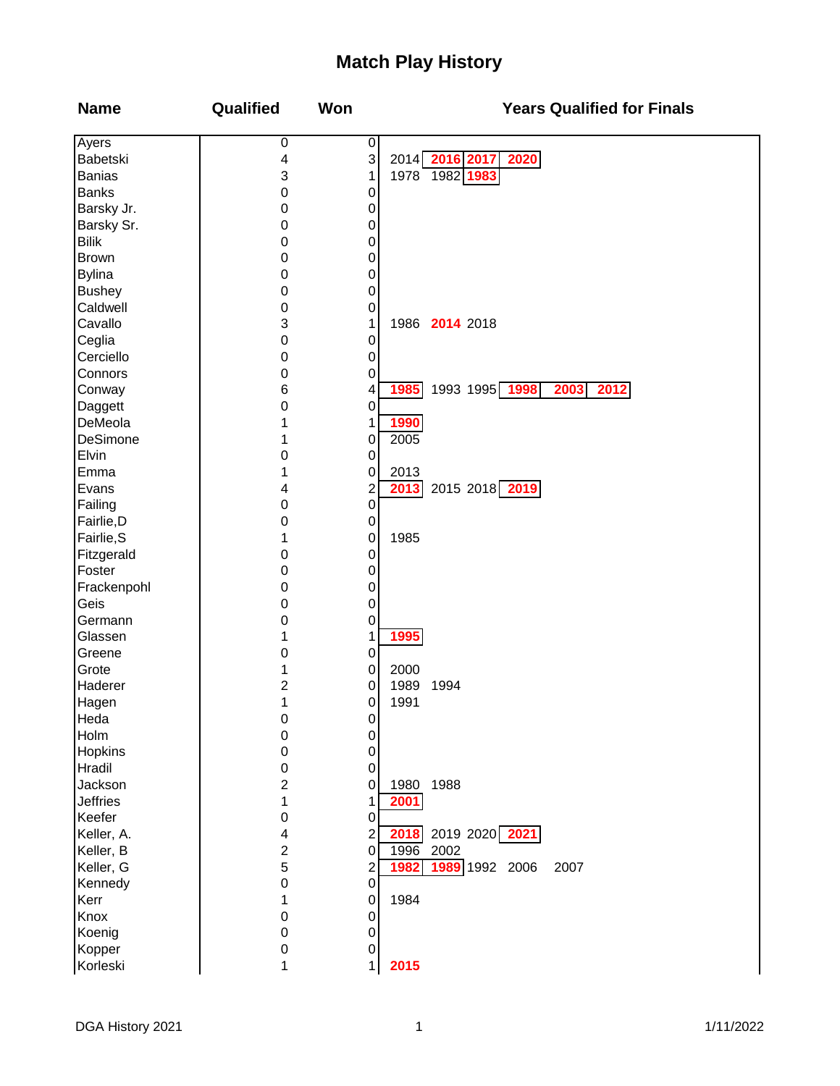## **Match Play History**

| Ayers<br>0<br>$\boldsymbol{0}$                          |  |
|---------------------------------------------------------|--|
| 3<br>Babetski<br>2014 2016 2017<br><b>2020</b><br>4     |  |
| 1978 1982 1983<br>3<br><b>Banias</b><br>1               |  |
| <b>Banks</b><br>$\mathbf 0$<br>0                        |  |
| Barsky Jr.<br>$\boldsymbol{0}$<br>0                     |  |
| Barsky Sr.<br>$\boldsymbol{0}$<br>0                     |  |
| <b>Bilik</b><br>$\boldsymbol{0}$<br>0                   |  |
| <b>Brown</b><br>$\boldsymbol{0}$<br>0                   |  |
| <b>Bylina</b><br>$\boldsymbol{0}$<br>0                  |  |
| <b>Bushey</b><br>$\boldsymbol{0}$<br>0                  |  |
| Caldwell<br>$\boldsymbol{0}$<br>0                       |  |
| Cavallo<br>3<br>1986 2014 2018<br>1                     |  |
| Ceglia<br>$\mathbf 0$<br>0                              |  |
| Cerciello<br>$\boldsymbol{0}$<br>0                      |  |
| Connors<br>$\boldsymbol{0}$<br>0                        |  |
| 1993 1995 1998 2003<br>1985<br>6<br>2012<br>Conway<br>4 |  |
| Daggett<br>$\pmb{0}$<br>0                               |  |
| DeMeola<br>1990<br>1<br>1                               |  |
| DeSimone<br>2005<br>0<br>1                              |  |
| Elvin<br>0<br>$\boldsymbol{0}$                          |  |
| Emma<br>0<br>1<br>2013                                  |  |
| 2013 2015 2018 2019<br>Evans<br>2<br>4                  |  |
| $\pmb{0}$                                               |  |
| Failing<br>0                                            |  |
| Fairlie, D<br>$\boldsymbol{0}$<br>0                     |  |
| 1985<br>Fairlie, S<br>1<br>0                            |  |
| Fitzgerald<br>$\boldsymbol{0}$<br>0                     |  |
| Foster<br>$\boldsymbol{0}$<br>0                         |  |
| Frackenpohl<br>$\boldsymbol{0}$<br>0                    |  |
| Geis<br>$\boldsymbol{0}$<br>0                           |  |
| Germann<br>$\boldsymbol{0}$<br>0                        |  |
| 1995<br>Glassen<br>1<br>1                               |  |
| Greene<br>0<br>0                                        |  |
| Grote<br>2000<br>1<br>0                                 |  |
| Haderer<br>2<br>1989<br>1994<br>0                       |  |
| 1<br>1991<br>Hagen<br>0                                 |  |
| Heda<br>0<br>0                                          |  |
| Holm<br>0<br>0                                          |  |
| Hopkins<br>$\boldsymbol{0}$<br>0                        |  |
| Hradil<br>$\boldsymbol{0}$<br>0                         |  |
| Jackson<br>$\overline{c}$<br>1988<br>1980<br>0          |  |
| <b>Jeffries</b><br>1<br>2001<br>1                       |  |
| Keefer<br>$\boldsymbol{0}$<br>0                         |  |
| 2019 2020 2021<br>Keller, A.<br>2018<br>2<br>4          |  |
| $\overline{c}$<br>Keller, B<br>1996<br>2002<br>0        |  |
| 5<br>1989 1992 2006<br>Keller, G<br>1982<br>2007<br>2   |  |
| Kennedy<br>$\boldsymbol{0}$<br>0                        |  |
| Kerr<br>1984<br>1<br>0                                  |  |
| Knox<br>$\boldsymbol{0}$<br>0                           |  |
| Koenig<br>$\boldsymbol{0}$<br>0                         |  |
| Kopper<br>0<br>0                                        |  |
| Korleski<br>2015<br>1<br>1                              |  |